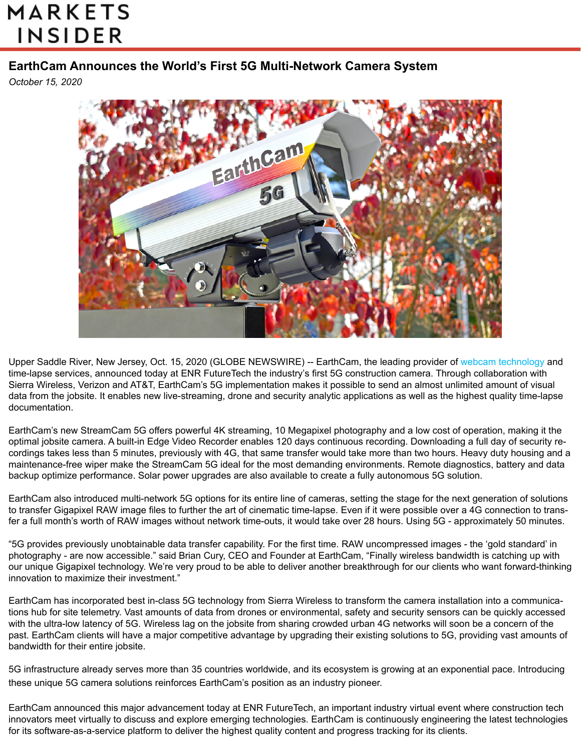## **MARKETS INSIDER**

## **EarthCam Announces the World's First 5G Multi-Network Camera System**

*October 15, 2020*



Upper S[addle River, New Jersey, Oct. 15, 2020 \(GLOBE NEWSWIRE\) -- EarthCam, the leading provider of w](https://www.earthcam.net/products/streamcam5G.php)[ebcam technolog](https://www.earthcam.net/products/)[y a](https://www.earthcam.net/products/streamcam5G.php)nd time-lapse services, announced today at ENR FutureTech the industry's first 5G construction camera. Through collaboration with Sierra Wireless, Verizon and AT&T, EarthCam's 5G implementation makes it possible to send an almost unlimited amount of visual data from the jobsite. It enables new live-streaming, drone and security analytic applications as well as the highest quality time-lapse documentation.

EarthCam's new StreamCam 5G offers powerful 4K streaming, 10 Megapixel photography and a low cost of operation, making it the optimal jobsite camera. A built-in Edge Video Recorder enables 120 days continuous recording. Downloading a full day of security recordings takes less than 5 minutes, previously with 4G, that same transfer would take more than two hours. Heavy duty housing and a maintenance-free wiper make the StreamCam 5G ideal for the most demanding environments. Remote diagnostics, battery and data backup optimize performance. Solar power upgrades are also available to create a fully autonomous 5G solution.

EarthCam also introduced multi-network 5G options for its entire line of cameras, setting the stage for the next generation of solutions to transfer Gigapixel RAW image files to further the art of cinematic time-lapse. Even if it were possible over a 4G connection to transfer a full month's worth of RAW images without network time-outs, it would take over 28 hours. Using 5G - approximately 50 minutes.

"5G provides previously unobtainable data transfer capability. For the first time. RAW uncompressed images - the 'gold standard' in photography - are now accessible." said Brian Cury, CEO and Founder at EarthCam, "Finally wireless bandwidth is catching up with our unique Gigapixel technology. We're very proud to be able to deliver another breakthrough for our clients who want forward-thinking innovation to maximize their investment."

EarthCam has incorporated best in-class 5G technology from Sierra Wireless to transform the camera installation into a communications hub for site telemetry. Vast amounts of data from drones or environmental, safety and security sensors can be quickly accessed with the ultra-low latency of 5G. Wireless lag on the jobsite from sharing crowded urban 4G networks will soon be a concern of the past. EarthCam clients will have a major competitive advantage by upgrading their existing solutions to 5G, providing vast amounts of bandwidth for their entire jobsite.

5G infrastructure already serves more than 35 countries worldwide, and its ecosystem is growing at an exponential pace. Introducing these unique 5G camera solutions reinforces EarthCam's position as an industry pioneer.

EarthCam announced this major advancement today at ENR FutureTech, an important industry virtual event where construction tech innovators meet virtually to discuss and explore emerging technologies. EarthCam is continuously engineering the latest technologies for its software-as-a-service platform to deliver the highest quality content and progress tracking for its clients.